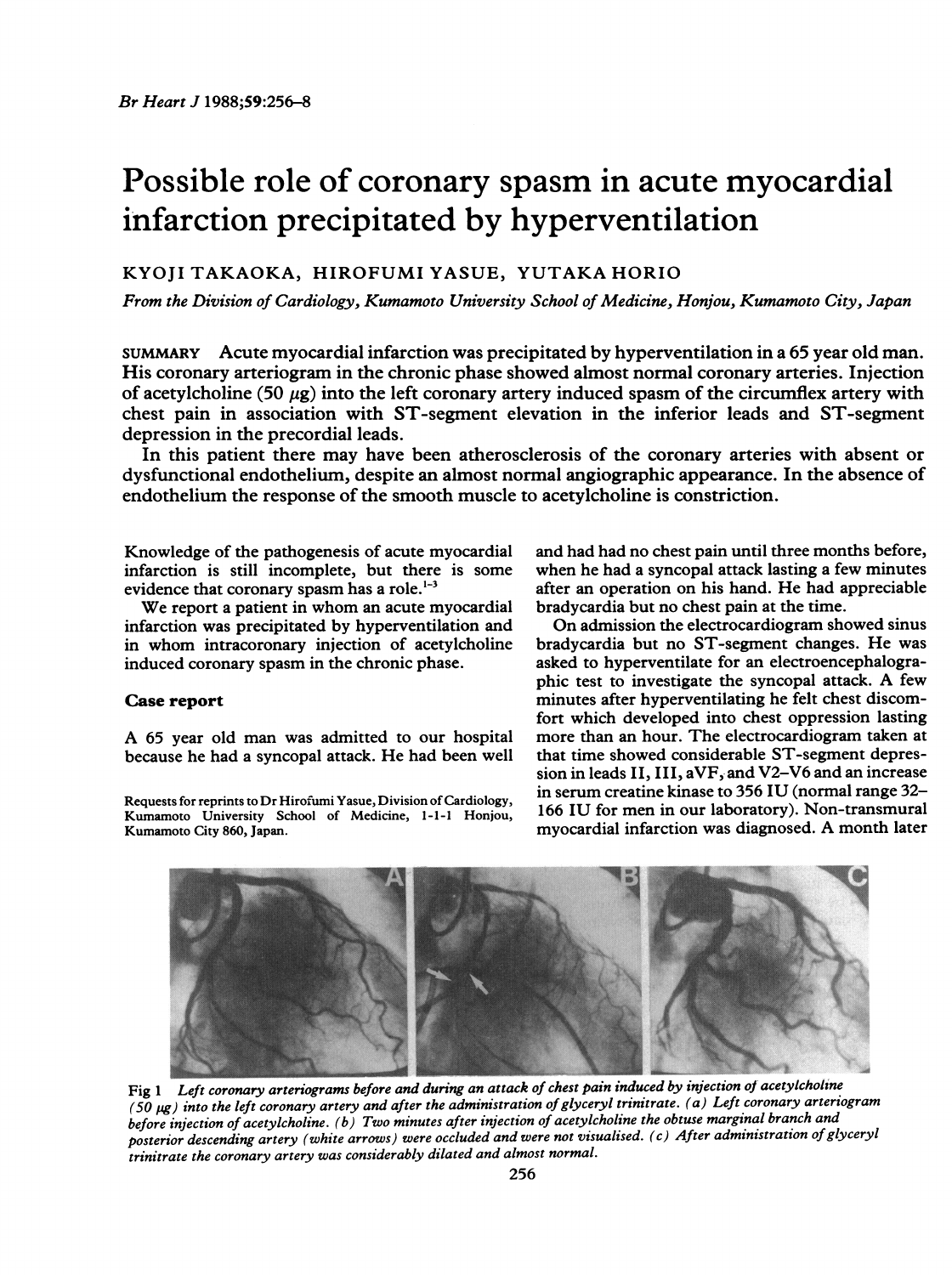# Possible role of coronary spasm in acute myocardial infarction precipitated by hyperventilation

## KYOJI TAKAOKA, HIROFUMI YASUE, YUTAKA HORIO

From the Division of Cardiology, Kumamoto University School of Medicine, Honjou, Kumamoto City, Japan

SUMMARY Acute myocardial infarction was precipitated by hyperventilation in a 65 year old man. His coronary arteriogram in the chronic phase showed almost normal coronary arteries. Injection of acetylcholine (50  $\mu$ g) into the left coronary artery induced spasm of the circumflex artery with chest pain in association with ST-segment elevation in the inferior leads and ST-segment depression in the precordial leads.

In this patient there may have been atherosclerosis of the coronary arteries with absent or dysfunctional endothelium, despite an almost normal angiographic appearance. In the absence of endothelium the response of the smooth muscle to acetylcholine is constriction.

Knowledge of the pathogenesis of acute myocardial infarction is still incomplete, but there is some evidence that coronary spasm has a role.<sup>1-3</sup>

We report <sup>a</sup> patient in whom an acute myocardial infarction was precipitated by hyperventilation and in whom intracoronary injection of acetylcholine induced coronary spasm in the chronic phase.

### Case report

A <sup>65</sup> year old man was admitted to our hospital because he had <sup>a</sup> syncopal attack. He had been well

Requests for reprints to Dr Hirofumi Yasue, Division of Cardiology, Kumamoto University School of Medicine, 1-1-1 Honjou, Kumamoto City 860, Japan.

and had had no chest pain until three months before, when he had a syncopal attack lasting a few minutes after an operation on his hand. He had appreciable bradycardia but no chest pain at the time.

On admission the electrocardiogram showed sinus bradycardia but no ST-segment changes. He was asked to hyperventilate for an electroencephalographic test to investigate the syncopal attack. A few minutes after hyperventilating he felt chest discomfort which developed into chest oppression lasting more than an hour. The electrocardiogram taken at that time showed considerable ST-segment depression in leads II, III, aVF, and V2-V6 and an increase in serum creatine kinase to 356 IU (normal range 32- 166 IU for men in our laboratory). Non-transmural myocardial infarction was diagnosed. A month later



Fig 1 Left coronary arteriograms before and during an attack of chest pain induced by injection of acetylcholine (50  $\mu$ g) into the left coronary artery and after the administration of glyceryl trinitrate. (a) Left coronary arteriogram before injection of acetylcholine. (b) Two minutes after injection of acetylcholine the obtuse marginal branch and posterior descending artery (white arrows) were occluded and were not visualised. (c) After administration of glyceryl trinitrate the coronary artery was considerably dilated and almost normal.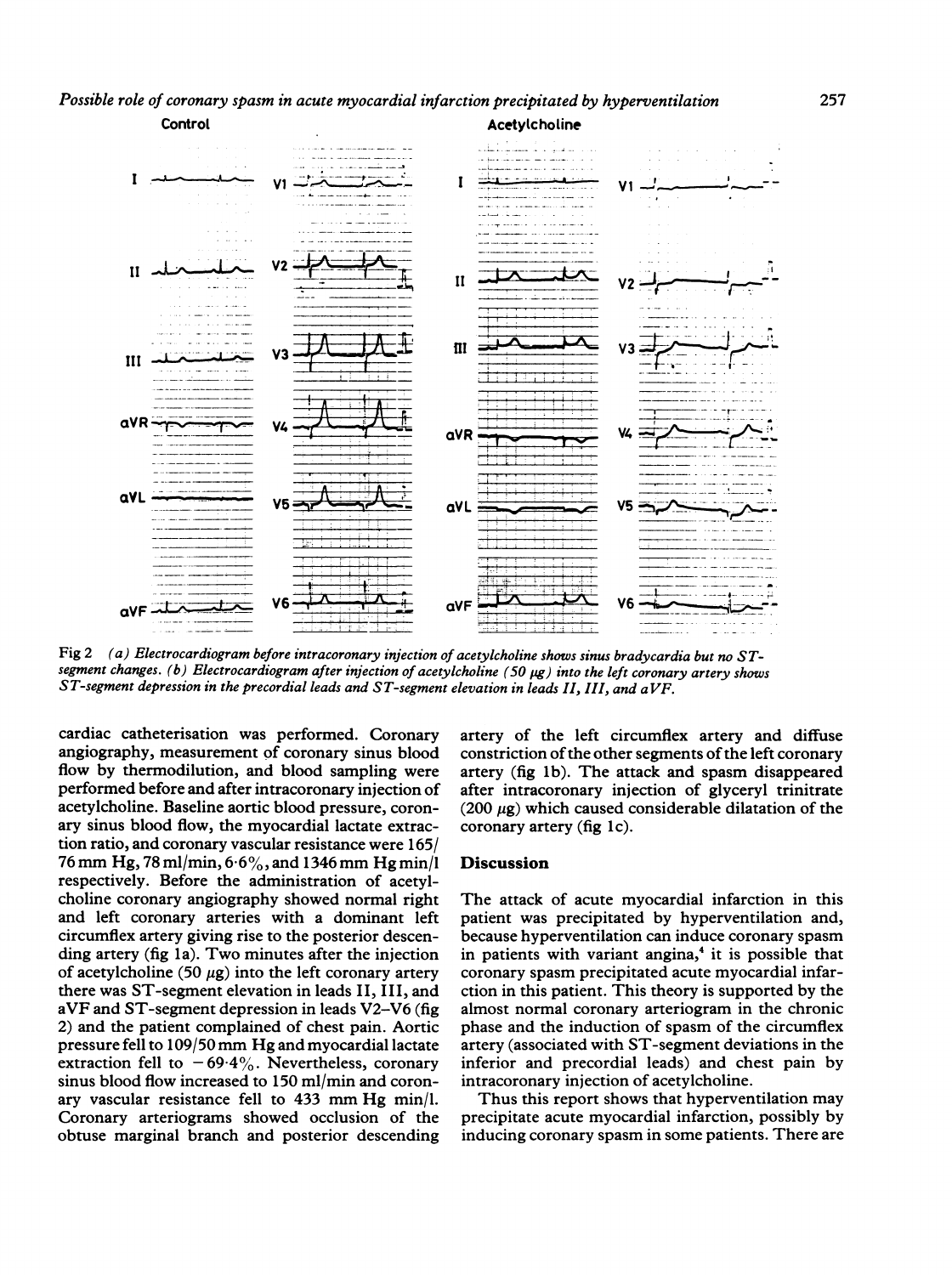Possible role of coronary spasm in acute myocardial infarction precipitated by hyperventilation



Fig 2 (a) Electrocardiogram before intracoronary injection of acetylcholine shows sinus bradycardia but no STsegment changes. (b) Electrocardiogram after injection of acetylcholine (50 pg) into the left coronary artery shows ST-segment depression in the precordial leads and ST-segment elevation in leads II, III, and aVF.

cardiac catheterisation was performed. Coronary angiography, measurement of coronary sinus blood flow by thermodilution, and blood sampling were performed before and after intracoronary injection of acetylcholine. Baseline aortic blood pressure, coronary sinus blood flow, the myocardial lactate extraction ratio, and coronary vascular resistance were 165/ <sup>76</sup>mm Hg., <sup>78</sup> ml/min, 6-6%,. and <sup>1346</sup>mm Hg min/l respectively. Before the administration of acetylcholine coronary angiography showed normal right and left coronary arteries with a dominant left circumflex artery giving rise to the posterior descending artery (fig la). Two minutes after the injection of acetylcholine (50  $\mu$ g) into the left coronary artery there was ST-segment elevation in leads <sup>I</sup>I, <sup>I</sup>II, and aVF and ST-segment depression in leads V2-V6 (fig 2) and the patient complained of chest pain. Aortic pressure fell to 109/50mm Hg and myocardial lactate extraction fell to  $-69.4\%$ . Nevertheless, coronary sinus blood flow increased to 150 ml/min and coronary vascular resistance fell to 433 mm Hg min/l. Coronary arteriograms showed occlusion of the obtuse marginal branch and posterior descending

artery of the left circumflex artery and diffuse constriction of the other segments of the left coronary artery (fig <sup>i</sup>b). The attack and spasm disappeared after intracoronary injection of glyceryl trinitrate (200  $\mu$ g) which caused considerable dilatation of the coronary artery (fig lc).

#### Discussion

The attack of acute myocardial infarction in this patient was precipitated by hyperventilation and, because hyperventilation can induce coronary spasm in patients with variant angina, $<sup>4</sup>$  it is possible that</sup> coronary spasm precipitated acute myocardial infarction in this patient. This theory is supported by the almost normal coronary arteriogram in the chronic phase and the induction of spasm of the circumflex artery (associated with ST-segment deviations in the inferior and precordial leads) and chest pain by intracoronary injection of acetylcholine.

Thus this report shows that hyperventilation may precipitate acute myocardial infarction, possibly by inducing coronary spasm in some patients. There are